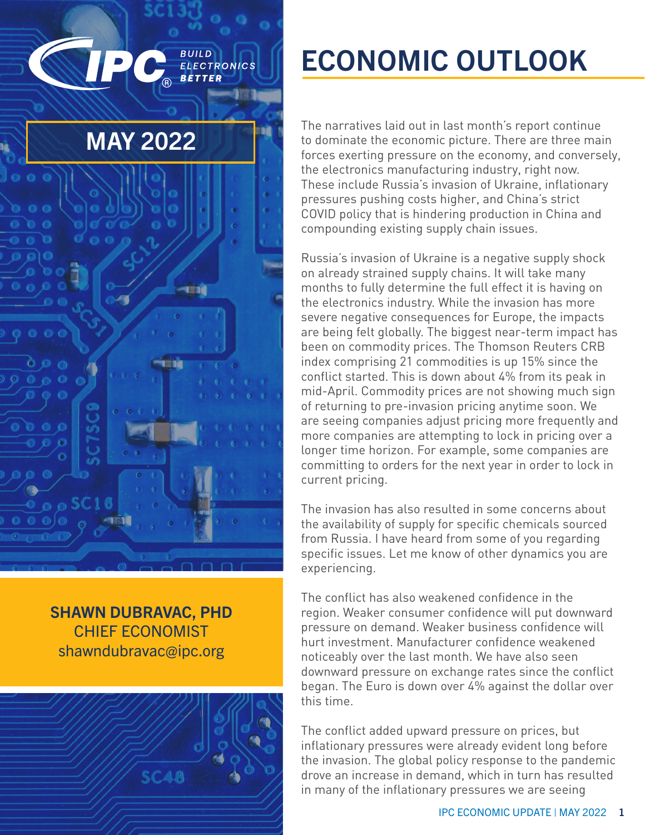

SHAWN DUBRAVAC, PHD CHIEF ECONOMIST [shawndubravac@ipc.org](mailto:shawndubravac%40ipc.org?subject=)



# ECONOMIC OUTLOOK

The narratives laid out in last month's report continue to dominate the economic picture. There are three main forces exerting pressure on the economy, and conversely, the electronics manufacturing industry, right now. These include Russia's invasion of Ukraine, inflationary pressures pushing costs higher, and China's strict COVID policy that is hindering production in China and compounding existing supply chain issues.

Russia's invasion of Ukraine is a negative supply shock on already strained supply chains. It will take many months to fully determine the full effect it is having on the electronics industry. While the invasion has more severe negative consequences for Europe, the impacts are being felt globally. The biggest near-term impact has been on commodity prices. The Thomson Reuters CRB index comprising 21 commodities is up 15% since the conflict started. This is down about 4% from its peak in mid-April. Commodity prices are not showing much sign of returning to pre-invasion pricing anytime soon. We are seeing companies adjust pricing more frequently and more companies are attempting to lock in pricing over a longer time horizon. For example, some companies are committing to orders for the next year in order to lock in current pricing.

The invasion has also resulted in some concerns about the availability of supply for specific chemicals sourced from Russia. I have heard from some of you regarding specific issues. Let me know of other dynamics you are experiencing.

The conflict has also weakened confidence in the region. Weaker consumer confidence will put downward pressure on demand. Weaker business confidence will hurt investment. Manufacturer confidence weakened noticeably over the last month. We have also seen downward pressure on exchange rates since the conflict began. The Euro is down over 4% against the dollar over this time.

The conflict added upward pressure on prices, but inflationary pressures were already evident long before the invasion. The global policy response to the pandemic drove an increase in demand, which in turn has resulted in many of the inflationary pressures we are seeing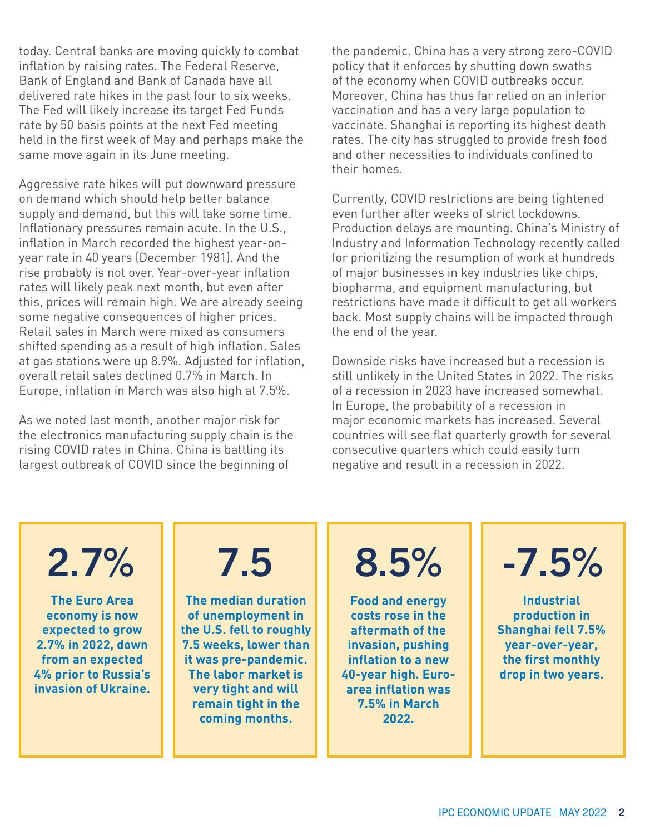today. Central banks are moving quickly to combat inflation by raising rates. The Federal Reserve, Bank of England and Bank of Canada have all delivered rate hikes in the past four to six weeks. The Fed will likely increase its target Fed Funds rate by 50 basis points at the next Fed meeting held in the first week of May and perhaps make the same move again in its June meeting.

Aggressive rate hikes will put downward pressure on demand which should help better balance supply and demand, but this will take some time. Inflationary pressures remain acute. In the U.S., inflation in March recorded the highest year-onyear rate in 40 years (December 1981). And the rise probably is not over. Year-over-year inflation rates will likely peak next month, but even after this, prices will remain high. We are already seeing some negative consequences of higher prices. Retail sales in March were mixed as consumers shifted spending as a result of high inflation. Sales at gas stations were up 8.9%. Adjusted for inflation, overall retail sales declined 0.7% in March. In Europe, inflation in March was also high at 7.5%.

As we noted last month, another major risk for the electronics manufacturing supply chain is the rising COVID rates in China. China is battling its largest outbreak of COVID since the beginning of

the pandemic. China has a very strong zero-COVID policy that it enforces by shutting down swaths of the economy when COVID outbreaks occur. Moreover, China has thus far relied on an inferior vaccination and has a very large population to vaccinate. Shanghai is reporting its highest death rates. The city has struggled to provide fresh food and other necessities to individuals confined to their homes.

Currently, COVID restrictions are being tightened even further after weeks of strict lockdowns. Production delays are mounting. China's Ministry of Industry and Information Technology recently called for prioritizing the resumption of work at hundreds of major businesses in key industries like chips, biopharma, and equipment manufacturing, but restrictions have made it difficult to get all workers back. Most supply chains will be impacted through the end of the year.

Downside risks have increased but a recession is still unlikely in the United States in 2022. The risks of a recession in 2023 have increased somewhat. In Europe, the probability of a recession in major economic markets has increased. Several countries will see flat quarterly growth for several consecutive quarters which could easily turn negative and result in a recession in 2022.

**The Euro Area economy is now expected to grow 2.7% in 2022, down from an expected 4% prior to Russia's invasion of Ukraine.**

**The median duration of unemployment in the U.S. fell to roughly 7.5 weeks, lower than it was pre-pandemic. The labor market is very tight and will remain tight in the coming months.**

**Food and energy costs rose in the aftermath of the invasion, pushing inflation to a new 40-year high. Euroarea inflation was 7.5% in March 2022.**

 $2.7\%$  |  $7.5$  |  $8.5\%$  |  $-7.5\%$ 

**Industrial production in Shanghai fell 7.5% year-over-year, the first monthly drop in two years.**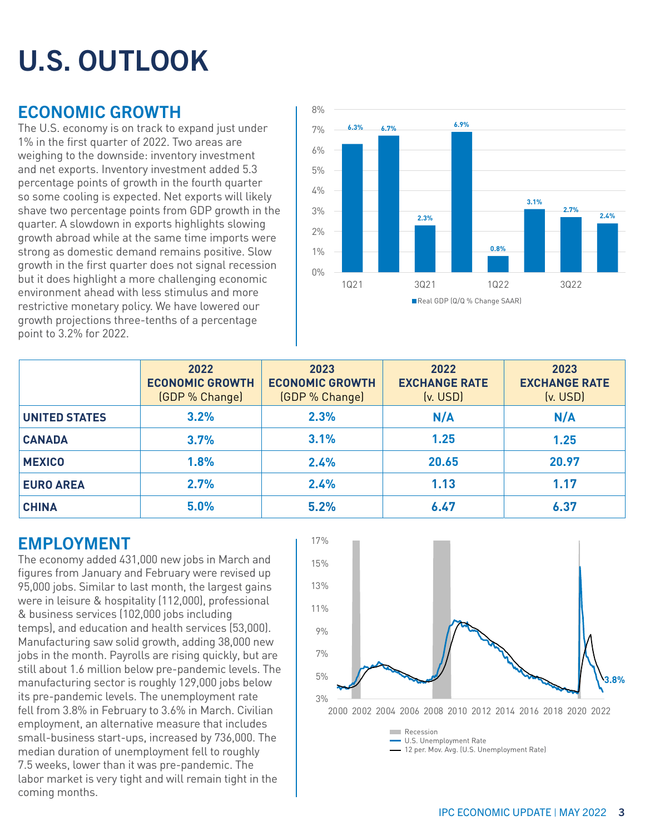# U.S. OUTLOOK

# ECONOMIC GROWTH

The U.S. economy is on track to expand just under 1% in the first quarter of 2022. Two areas are weighing to the downside: inventory investment and net exports. Inventory investment added 5.3 percentage points of growth in the fourth quarter so some cooling is expected. Net exports will likely shave two percentage points from GDP growth in the quarter. A slowdown in exports highlights slowing growth abroad while at the same time imports were strong as domestic demand remains positive. Slow growth in the first quarter does not signal recession but it does highlight a more challenging economic environment ahead with less stimulus and more restrictive monetary policy. We have lowered our growth projections three-tenths of a percentage point to 3.2% for 2022.



|                      | 2022<br><b>ECONOMIC GROWTH</b><br>(GDP % Change) | 2023<br><b>ECONOMIC GROWTH</b><br>(GDP % Change) | 2022<br><b>EXCHANGE RATE</b><br>(v. USD) | 2023<br><b>EXCHANGE RATE</b><br>(v. USD) |
|----------------------|--------------------------------------------------|--------------------------------------------------|------------------------------------------|------------------------------------------|
| <b>UNITED STATES</b> | 3.2%                                             | 2.3%                                             | N/A                                      | N/A                                      |
| <b>CANADA</b>        | 3.7%                                             | 3.1%                                             | 1.25                                     | 1.25                                     |
| <b>MEXICO</b>        | 1.8%                                             | 2.4%                                             | 20.65                                    | 20.97                                    |
| <b>EURO AREA</b>     | 2.7%                                             | 2.4%                                             | 1.13                                     | 1.17                                     |
| <b>CHINA</b>         | 5.0%                                             | 5.2%                                             | 6.47                                     | 6.37                                     |

# EMPLOYMENT

The economy added 431,000 new jobs in March and figures from January and February were revised up 95,000 jobs. Similar to last month, the largest gains were in leisure & hospitality (112,000), professional & business services (102,000 jobs including temps), and education and health services (53,000). Manufacturing saw solid growth, adding 38,000 new jobs in the month. Payrolls are rising quickly, but are still about 1.6 million below pre-pandemic levels. The manufacturing sector is roughly 129,000 jobs below its pre-pandemic levels. The unemployment rate fell from 3.8% in February to 3.6% in March. Civilian employment, an alternative measure that includes small-business start-ups, increased by 736,000. The median duration of unemployment fell to roughly 7.5 weeks, lower than it was pre-pandemic. The labor market is very tight and will remain tight in the coming months.



- 12 per. Mov. Avg. (U.S. Unemployment Rate)

IPC ECONOMIC UPDATE | MAY 2022 3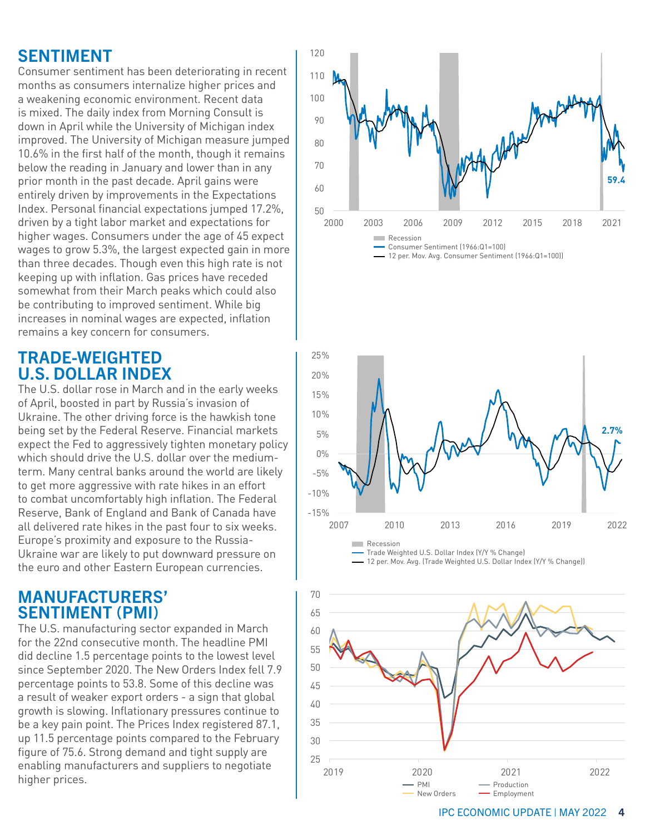# SENTIMENT

Consumer sentiment has been deteriorating in recent months as consumers internalize higher prices and a weakening economic environment. Recent data is mixed. The daily index from Morning Consult is down in April while the University of Michigan index improved. The University of Michigan measure jumped 10.6% in the first half of the month, though it remains below the reading in January and lower than in any prior month in the past decade. April gains were entirely driven by improvements in the Expectations Index. Personal financial expectations jumped 17.2%, driven by a tight labor market and expectations for higher wages. Consumers under the age of 45 expect wages to grow 5.3%, the largest expected gain in more than three decades. Though even this high rate is not keeping up with inflation. Gas prices have receded somewhat from their March peaks which could also be contributing to improved sentiment. While big increases in nominal wages are expected, inflation remains a key concern for consumers.

# TRADE-WEIGHTED U.S. DOLLAR INDEX

The U.S. dollar rose in March and in the early weeks of April, boosted in part by Russia's invasion of Ukraine. The other driving force is the hawkish tone being set by the Federal Reserve. Financial markets expect the Fed to aggressively tighten monetary policy which should drive the U.S. dollar over the mediumterm. Many central banks around the world are likely to get more aggressive with rate hikes in an effort to combat uncomfortably high inflation. The Federal Reserve, Bank of England and Bank of Canada have all delivered rate hikes in the past four to six weeks. Europe's proximity and exposure to the Russia-Ukraine war are likely to put downward pressure on the euro and other Eastern European currencies.

# MANUFACTURERS' SENTIMENT (PMI)

The U.S. manufacturing sector expanded in March for the 22nd consecutive month. The headline PMI did decline 1.5 percentage points to the lowest level since September 2020. The New Orders Index fell 7.9 percentage points to 53.8. Some of this decline was a result of weaker export orders - a sign that global growth is slowing. Inflationary pressures continue to be a key pain point. The Prices Index registered 87.1, up 11.5 percentage points compared to the February figure of 75.6. Strong demand and tight supply are enabling manufacturers and suppliers to negotiate higher prices.







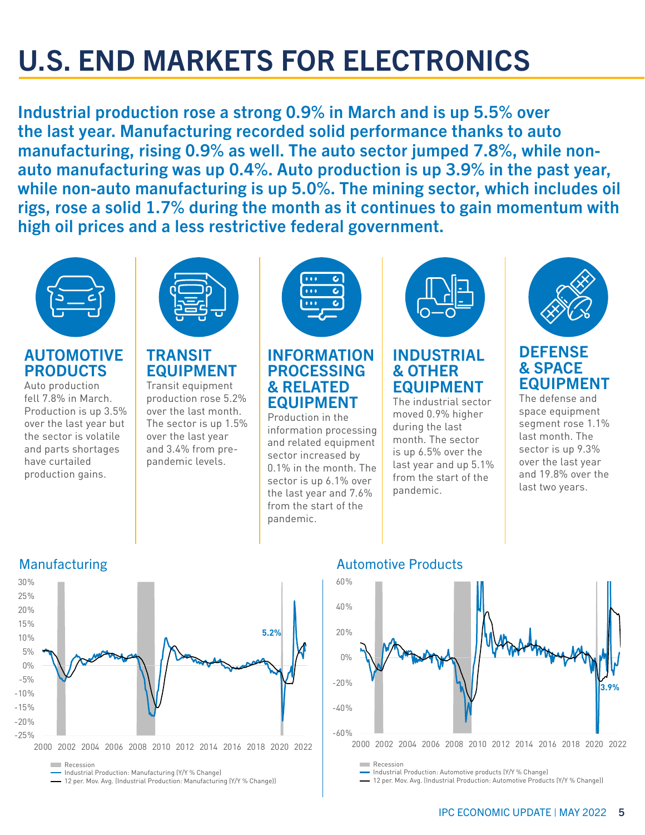# U.S. END MARKETS FOR ELECTRONICS

Industrial production rose a strong 0.9% in March and is up 5.5% over the last year. Manufacturing recorded solid performance thanks to auto manufacturing, rising 0.9% as well. The auto sector jumped 7.8%, while nonauto manufacturing was up 0.4%. Auto production is up 3.9% in the past year, while non-auto manufacturing is up 5.0%. The mining sector, which includes oil rigs, rose a solid 1.7% during the month as it continues to gain momentum with high oil prices and a less restrictive federal government.



# AUTOMOTIVE PRODUCTS

Auto production fell 7.8% in March. Production is up 3.5% over the last year but the sector is volatile and parts shortages have curtailed production gains.



# TRANSIT EQUIPMENT

Transit equipment production rose 5.2% over the last month. The sector is up 1.5% over the last year and 3.4% from prepandemic levels.



### INFORMATION PROCESSING & RELATED EQUIPMENT

Production in the information processing and related equipment sector increased by 0.1% in the month. The sector is up 6.1% over the last year and 7.6% from the start of the pandemic.



## INDUSTRIAL & OTHER EQUIPMENT

The industrial sector moved 0.9% higher during the last month. The sector is up 6.5% over the last year and up 5.1% from the start of the pandemic.



## **DEFENSE** & SPACE EQUIPMENT

The defense and space equipment segment rose 1.1% last month. The sector is up 9.3% over the last year and 19.8% over the last two years.



- 12 per. Mov. Avg. (Industrial Production: Manufacturing (Y/Y % Change))



Industrial Production: Automotive products (Y/Y % Change)

12 per. Mov. Avg. (Industrial Production: Automotive Products (Y/Y % Change))

# Manufacturing Manufacturing Automotive Products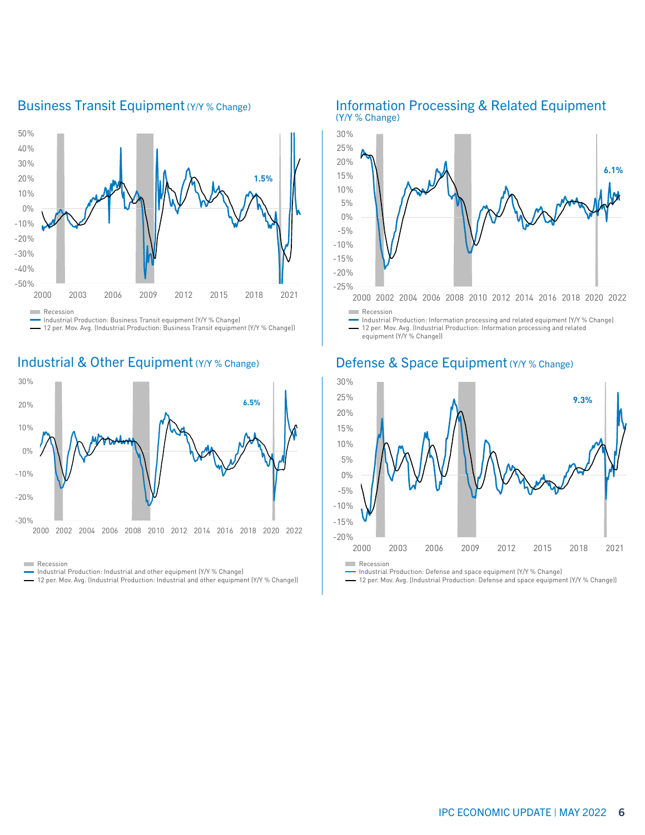

### Business Transit Equipment (Y/Y % Change)

Industrial Production: Business Transit equipment (Y/Y % Change)

12 per. Mov. Avg. (Industrial Production: Business Transit equipment (Y/Y % Change))

### Industrial & Other Equipment (Y/Y % Change) Defense & Space Equipment (Y/Y % Change)



**Recession** 

- Industrial Production: Industrial and other equipment (Y/Y % Change)
- 12 per. Mov. Avg. (Industrial Production: Industrial and other equipment (Y/Y % Change))

#### Information Processing & Related Equipment (Y/Y % Change)



Industrial Production: Information processing and related equipment (Y/Y % Change) 12 per. Mov. Avg. (Industrial Production: Information processing and related equipment (Y/Y % Change))



Industrial Production: Defense and space equipment (Y/Y % Change)

12 per. Mov. Avg. (Industrial Production: Defense and space equipment (Y/Y % Change))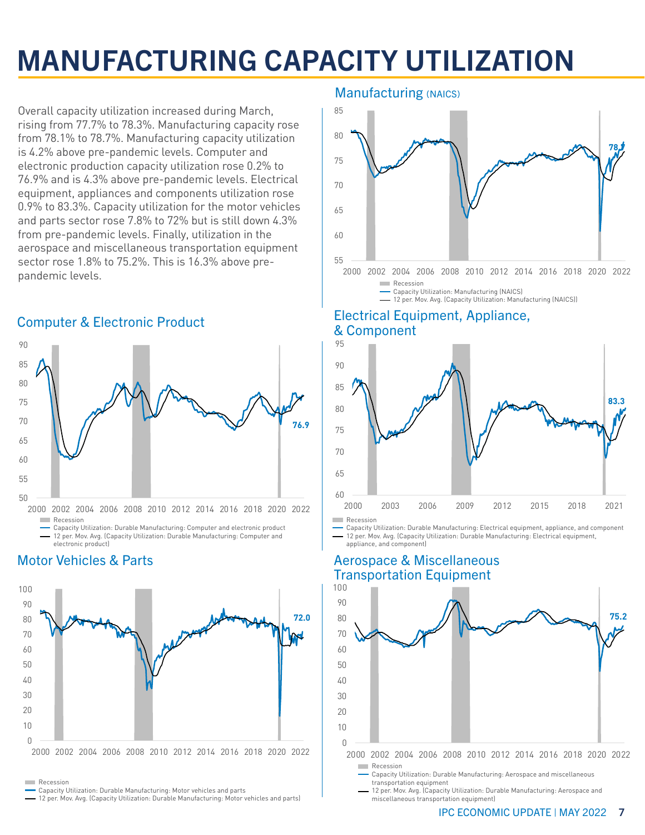# MANUFACTURING CAPACITY UTILIZATION

Overall capacity utilization increased during March, rising from 77.7% to 78.3%. Manufacturing capacity rose from 78.1% to 78.7%. Manufacturing capacity utilization is 4.2% above pre-pandemic levels. Computer and electronic production capacity utilization rose 0.2% to 76.9% and is 4.3% above pre-pandemic levels. Electrical equipment, appliances and components utilization rose 0.9% to 83.3%. Capacity utilization for the motor vehicles and parts sector rose 7.8% to 72% but is still down 4.3% from pre-pandemic levels. Finally, utilization in the aerospace and miscellaneous transportation equipment sector rose 1.8% to 75.2%. This is 16.3% above prepandemic levels.

### **76.9**  50 55  $60$ 65 70 75 80 85 90 2000 2002 2004 2006 2008 2010 2012 2014 2016 2018 2020 2022 **Recession** Capacity Utilization: Durable Manufacturing: Computer and electronic product

12 per. Mov. Avg. (Capacity Utilization: Durable Manufacturing: Computer and

#### electronic product) Motor Vehicles & Parts



**Recession** 

- Capacity Utilization: Durable Manufacturing: Motor vehicles and parts
- 12 per. Mov. Avg. (Capacity Utilization: Durable Manufacturing: Motor vehicles and parts)

### **Manufacturing (NAICS)**



### Electrical Equipment, Appliance, & Component



Capacity Utilization: Durable Manufacturing: Electrical equipment, appliance, and component 12 per. Mov. Avg. (Capacity Utilization: Durable Manufacturing: Electrical equipment, appliance, and component)

## Aerospace & Miscellaneous Transportation Equipment



12 per. Mov. Avg. (Capacity Utilization: Durable Manufacturing: Aerospace and miscellaneous transportation equipment)

#### IPC ECONOMIC UPDATE | MAY 2022 7

### Computer & Electronic Product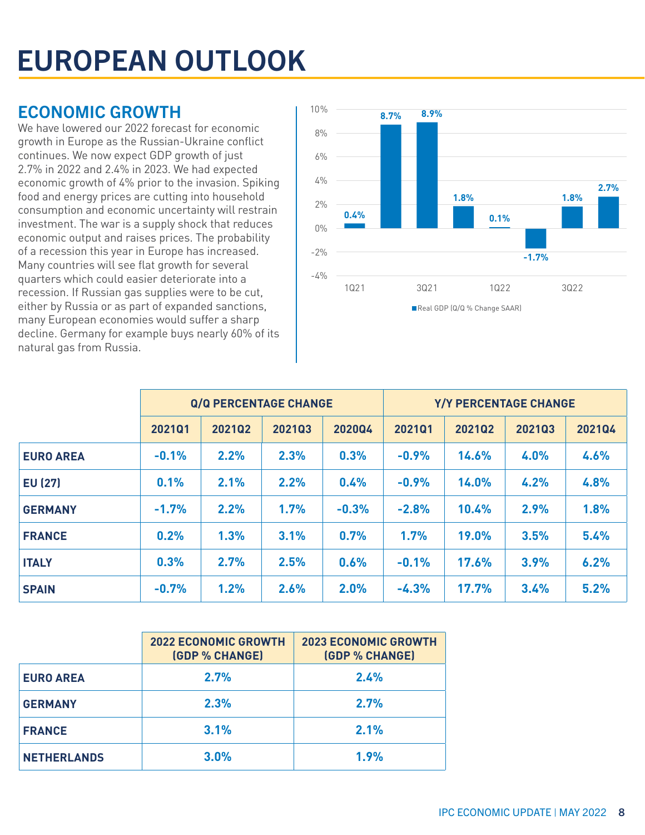# EUROPEAN OUTLOOK

# ECONOMIC GROWTH

We have lowered our 2022 forecast for economic growth in Europe as the Russian-Ukraine conflict continues. We now expect GDP growth of just 2.7% in 2022 and 2.4% in 2023. We had expected economic growth of 4% prior to the invasion. Spiking food and energy prices are cutting into household consumption and economic uncertainty will restrain investment. The war is a supply shock that reduces economic output and raises prices. The probability of a recession this year in Europe has increased. Many countries will see flat growth for several quarters which could easier deteriorate into a recession. If Russian gas supplies were to be cut, either by Russia or as part of expanded sanctions, many European economies would suffer a sharp decline. Germany for example buys nearly 60% of its natural gas from Russia.



|                  | Q/Q PERCENTAGE CHANGE |        |        | Y/Y PERCENTAGE CHANGE |         |              |        |        |
|------------------|-----------------------|--------|--------|-----------------------|---------|--------------|--------|--------|
|                  | 202101                | 202102 | 202103 | 202004                | 202101  | 202102       | 202103 | 202104 |
| <b>EURO AREA</b> | $-0.1%$               | 2.2%   | 2.3%   | 0.3%                  | $-0.9%$ | 14.6%        | 4.0%   | 4.6%   |
| <b>EU (27)</b>   | 0.1%                  | 2.1%   | 2.2%   | 0.4%                  | $-0.9%$ | 14.0%        | 4.2%   | 4.8%   |
| <b>GERMANY</b>   | $-1.7%$               | 2.2%   | 1.7%   | $-0.3%$               | $-2.8%$ | 10.4%        | 2.9%   | 1.8%   |
| <b>FRANCE</b>    | 0.2%                  | 1.3%   | 3.1%   | 0.7%                  | 1.7%    | <b>19.0%</b> | 3.5%   | 5.4%   |
| <b>ITALY</b>     | 0.3%                  | 2.7%   | 2.5%   | 0.6%                  | $-0.1%$ | 17.6%        | 3.9%   | 6.2%   |
| <b>SPAIN</b>     | $-0.7%$               | 1.2%   | 2.6%   | 2.0%                  | $-4.3%$ | <b>17.7%</b> | 3.4%   | 5.2%   |

|                    | <b>2022 ECONOMIC GROWTH</b><br><b>(GDP % CHANGE)</b> | <b>2023 ECONOMIC GROWTH</b><br><b>(GDP % CHANGE)</b> |  |  |  |  |
|--------------------|------------------------------------------------------|------------------------------------------------------|--|--|--|--|
| <b>EURO AREA</b>   | 2.7%                                                 | 2.4%                                                 |  |  |  |  |
| <b>GERMANY</b>     | 2.3%                                                 | 2.7%                                                 |  |  |  |  |
| <b>FRANCE</b>      | 3.1%                                                 | 2.1%                                                 |  |  |  |  |
| <b>NETHERLANDS</b> | 3.0%                                                 | 1.9%                                                 |  |  |  |  |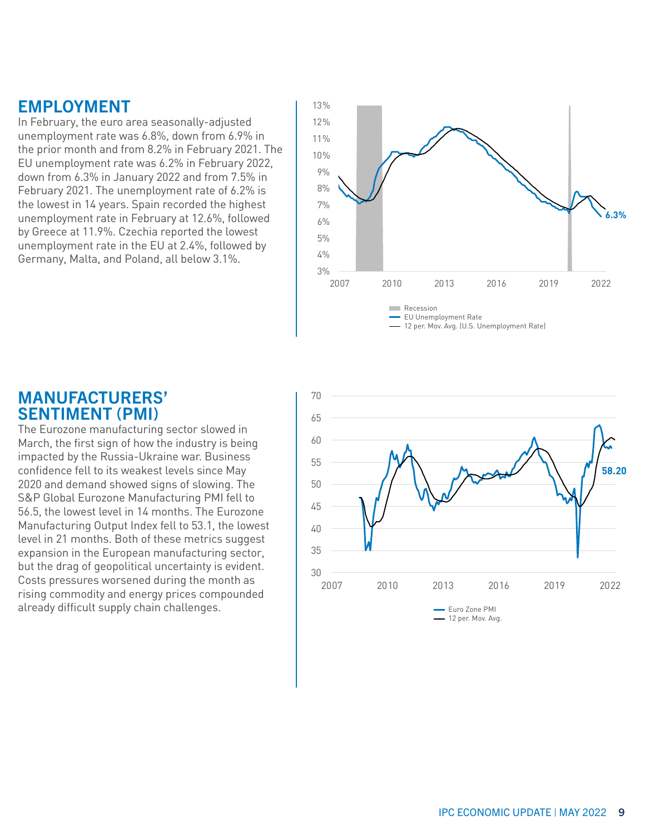# EMPLOYMENT

In February, the euro area seasonally-adjusted unemployment rate was 6.8%, down from 6.9% in the prior month and from 8.2% in February 2021. The EU unemployment rate was 6.2% in February 2022, down from 6.3% in January 2022 and from 7.5% in February 2021. The unemployment rate of 6.2% is the lowest in 14 years. Spain recorded the highest unemployment rate in February at 12.6%, followed by Greece at 11.9%. Czechia reported the lowest unemployment rate in the EU at 2.4%, followed by Germany, Malta, and Poland, all below 3.1%.



### MANUFACTURERS' SENTIMENT (PMI)

The Eurozone manufacturing sector slowed in March, the first sign of how the industry is being impacted by the Russia-Ukraine war. Business confidence fell to its weakest levels since May 2020 and demand showed signs of slowing. The S&P Global Eurozone Manufacturing PMI fell to 56.5, the lowest level in 14 months. The Eurozone Manufacturing Output Index fell to 53.1, the lowest level in 21 months. Both of these metrics suggest expansion in the European manufacturing sector, but the drag of geopolitical uncertainty is evident. Costs pressures worsened during the month as rising commodity and energy prices compounded already difficult supply chain challenges. The state of the Cone PMI and Cone PMI

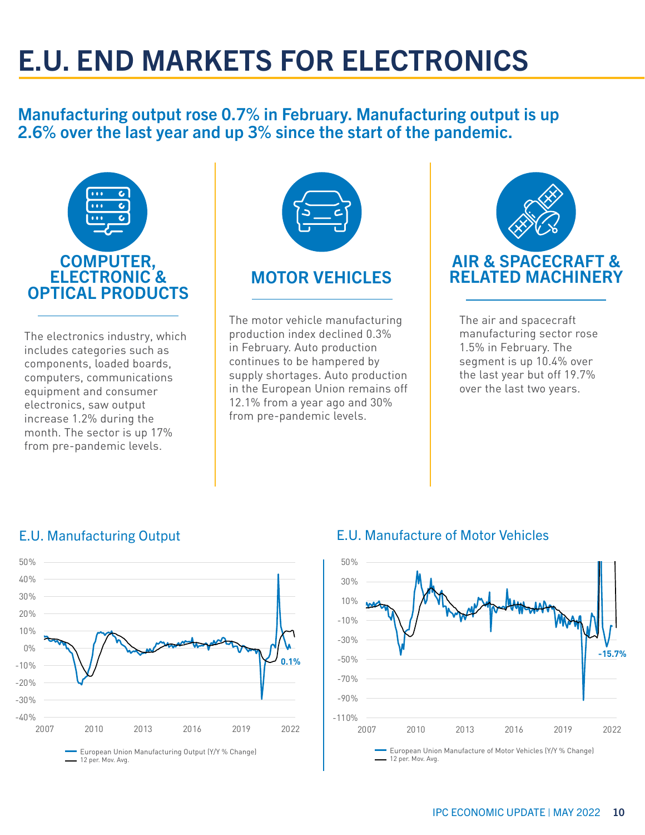# E.U. END MARKETS FOR ELECTRONICS

# Manufacturing output rose 0.7% in February. Manufacturing output is up 2.6% over the last year and up 3% since the start of the pandemic.



The electronics industry, which includes categories such as components, loaded boards, computers, communications equipment and consumer electronics, saw output increase 1.2% during the month. The sector is up 17% from pre-pandemic levels.



# MOTOR VEHICLES

The motor vehicle manufacturing production index declined 0.3% in February. Auto production continues to be hampered by supply shortages. Auto production in the European Union remains off 12.1% from a year ago and 30% from pre-pandemic levels.



The air and spacecraft manufacturing sector rose 1.5% in February. The segment is up 10.4% over the last year but off 19.7% over the last two years.



European Union Manufacturing Output (Y/Y % Change) 12 per. Mov. Avg.

# E.U. Manufacturing Output **E.U. Manufacture of Motor Vehicles**